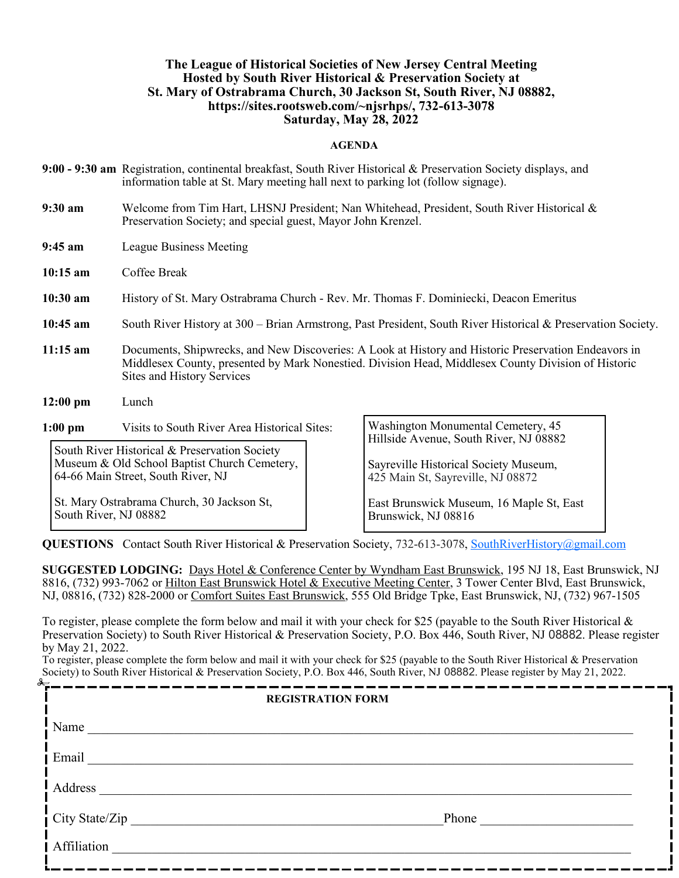### **The League of Historical Societies of New Jersey Central Meeting Hosted by South River Historical & Preservation Society at St. Mary of Ostrabrama Church, 30 Jackson St, South River, NJ 08882, https://sites.rootsweb.com/~njsrhps/, 732-613-3078 Saturday, May 28, 2022**

#### **AGENDA**

- **9:00 - 9:30 am** Registration, continental breakfast, South River Historical & Preservation Society displays, and information table at St. Mary meeting hall next to parking lot (follow signage).
- **9:30 am** Welcome from Tim Hart, LHSNJ President; Nan Whitehead, President, South River Historical & Preservation Society; and special guest, Mayor John Krenzel.
- **9:45 am** League Business Meeting
- **10:15 am** Coffee Break
- **10:30 am** History of St. Mary Ostrabrama Church Rev. Mr. Thomas F. Dominiecki, Deacon Emeritus
- **10:45 am** South River History at 300 Brian Armstrong, Past President, South River Historical & Preservation Society.
- **11:15 am** Documents, Shipwrecks, and New Discoveries: A Look at History and Historic Preservation Endeavors in Middlesex County, presented by Mark Nonestied. Division Head, Middlesex County Division of Historic Sites and History Services
- **12:00 pm** Lunch

**1:00 pm** Visits to South River Area Historical Sites:

South River Historical & Preservation Society Museum & Old School Baptist Church Cemetery, 64-66 Main Street, South River, NJ

St. Mary Ostrabrama Church, 30 Jackson St, South River, NJ 08882

Washington Monumental Cemetery, 45 Hillside Avenue, South River, NJ 08882

Sayreville Historical Society Museum, 425 Main St, Sayreville, NJ 08872

East Brunswick Museum, 16 Maple St, East Brunswick, NJ 08816

**QUESTIONS** Contact South River Historical & Preservation Society, 732-613-3078, [SouthRiverHistory@gmail.com](mailto:SouthRiverHistory@gmail.com)

**SUGGESTED LODGING:** Days Hotel & Conference Center by Wyndham East Brunswick, 195 NJ 18, East Brunswick, NJ 8816, (732) 993-7062 or Hilton East Brunswick Hotel & Executive Meeting Center, 3 Tower Center Blvd, East Brunswick, NJ, 08816, (732) 828-2000 or Comfort Suites East Brunswick, 555 Old Bridge Tpke, East Brunswick, NJ, (732) 967-1505

To register, please complete the form below and mail it with your check for \$25 (payable to the South River Historical & Preservation Society) to South River Historical & Preservation Society, P.O. Box 446, South River, NJ 08882. Please register by May 21, 2022.

To register, please complete the form below and mail it with your check for \$25 (payable to the South River Historical & Preservation Society) to South River Historical & Preservation Society, P.O. Box 446, South River, NJ 08882. Please register by May 21, 2022.

| <b>REGISTRATION FORM</b> |       |
|--------------------------|-------|
| $\mathbf{I}$ Name        |       |
| <i>i</i> Email           |       |
| Address                  |       |
| $\int$ City State/Zip _  | Phone |
| Affiliation              |       |